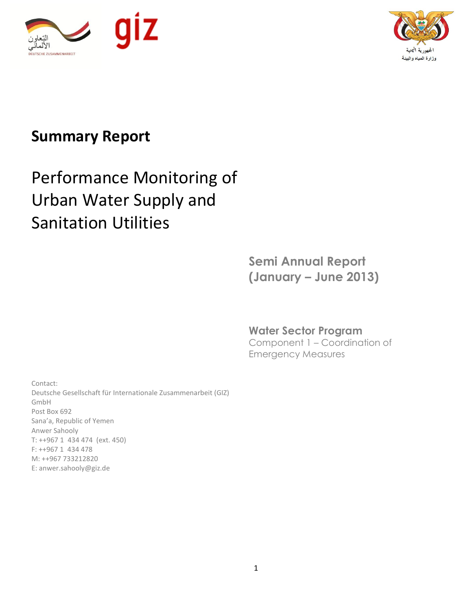



# **Summary Report**

# Performance Monitoring of Urban Water Supply and Sanitation Utilities

**Semi Annual Report (January – June 2013)**

Component 1 – Coordination of Emergency Measures

**Water Sector Program** 

Contact: Deutsche Gesellschaft für Internationale Zusammenarbeit (GIZ) GmbH Post Box 692 Sana'a, Republic of Yemen Anwer Sahooly T: ++967 1 434 474 (ext. 450) F: ++967 1 434 478 M: ++967 733212820 E: anwer.sahooly@giz.de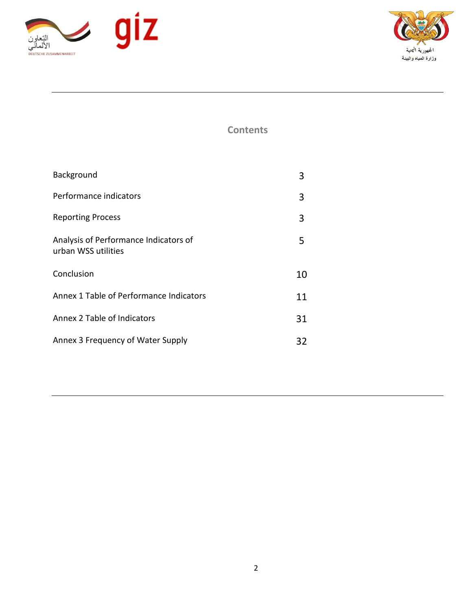



**Contents**

| Background                                                   | 3  |
|--------------------------------------------------------------|----|
| Performance indicators                                       | 3  |
| <b>Reporting Process</b>                                     | 3  |
| Analysis of Performance Indicators of<br>urban WSS utilities | 5  |
| Conclusion                                                   | 10 |
| Annex 1 Table of Performance Indicators                      | 11 |
| Annex 2 Table of Indicators                                  | 31 |
| Annex 3 Frequency of Water Supply                            | 32 |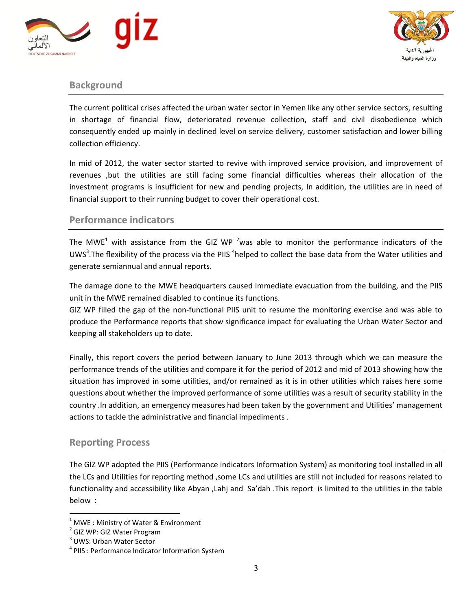



# **Background**

The current political crises affected the urban water sector in Yemen like any other service sectors, resulting in shortage of financial flow, deteriorated revenue collection, staff and civil disobedience which consequently ended up mainly in declined level on service delivery, customer satisfaction and lower billing collection efficiency.

In mid of 2012, the water sector started to revive with improved service provision, and improvement of revenues ,but the utilities are still facing some financial difficulties whereas their allocation of the investment programs is insufficient for new and pending projects, In addition, the utilities are in need of financial support to their running budget to cover their operational cost.

# **Performance indicators**

The MWE<sup>1</sup> with assistance from the GIZ WP<sup>2</sup> was able to monitor the performance indicators of the UWS<sup>3</sup>. The flexibility of the process via the PIIS <sup>4</sup>helped to collect the base data from the Water utilities and generate semiannual and annual reports.

The damage done to the MWE headquarters caused immediate evacuation from the building, and the PIIS unit in the MWE remained disabled to continue its functions.

GIZ WP filled the gap of the non-functional PIIS unit to resume the monitoring exercise and was able to produce the Performance reports that show significance impact for evaluating the Urban Water Sector and keeping all stakeholders up to date.

Finally, this report covers the period between January to June 2013 through which we can measure the performance trends of the utilities and compare it for the period of 2012 and mid of 2013 showing how the situation has improved in some utilities, and/or remained as it is in other utilities which raises here some questions about whether the improved performance of some utilities was a result of security stability in the country .In addition, an emergency measures had been taken by the government and Utilities' management actions to tackle the administrative and financial impediments .

# **Reporting Process**

The GIZ WP adopted the PIIS (Performance indicators Information System) as monitoring tool installed in all the LCs and Utilities for reporting method ,some LCs and utilities are still not included for reasons related to functionality and accessibility like Abyan ,Lahj and Sa'dah .This report is limited to the utilities in the table below :

 $\overline{a}$ 

 $1$  MWE : Ministry of Water & Environment

<sup>&</sup>lt;sup>2</sup> GIZ WP: GIZ Water Program

<sup>&</sup>lt;sup>3</sup> UWS: Urban Water Sector

<sup>&</sup>lt;sup>4</sup> PIIS : Performance Indicator Information System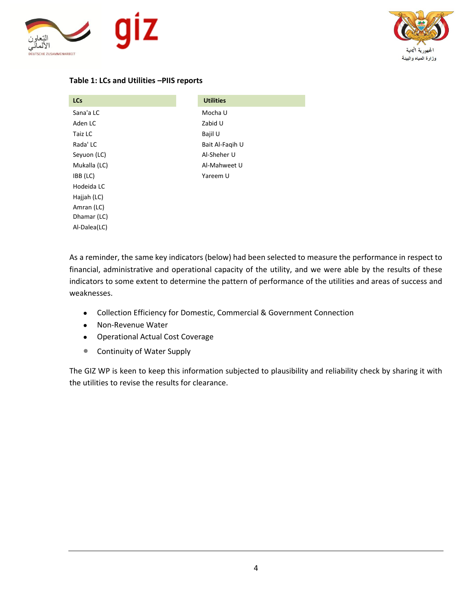



# **Table 1: LCs and Utilities –PIIS reports**

| <b>LCs</b>   | <b>Utilities</b> |
|--------------|------------------|
| Sana'a LC    | Mocha U          |
| Aden LC      | Zabid U          |
| Taiz LC      | Bajil U          |
| Rada' LC     | Bait Al-Fagih U  |
| Seyuon (LC)  | Al-Sheher U      |
| Mukalla (LC) | Al-Mahweet U     |
| IBB (LC)     | Yareem U         |
| Hodeida LC   |                  |
| Hajjah (LC)  |                  |
| Amran (LC)   |                  |
| Dhamar (LC)  |                  |
| Al-Dalea(LC) |                  |

As a reminder, the same key indicators (below) had been selected to measure the performance in respect to financial, administrative and operational capacity of the utility, and we were able by the results of these indicators to some extent to determine the pattern of performance of the utilities and areas of success and weaknesses.

- Collection Efficiency for Domestic, Commercial & Government Connection
- Non-Revenue Water
- Operational Actual Cost Coverage
- **Continuity of Water Supply**

The GIZ WP is keen to keep this information subjected to plausibility and reliability check by sharing it with the utilities to revise the results for clearance.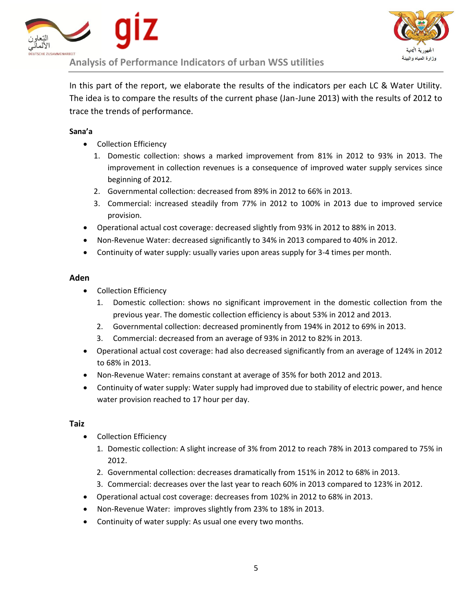



In this part of the report, we elaborate the results of the indicators per each LC & Water Utility. The idea is to compare the results of the current phase (Jan-June 2013) with the results of 2012 to trace the trends of performance.

# **Sana'a**

- Collection Efficiency
	- 1. Domestic collection: shows a marked improvement from 81% in 2012 to 93% in 2013. The improvement in collection revenues is a consequence of improved water supply services since beginning of 2012.
	- 2. Governmental collection: decreased from 89% in 2012 to 66% in 2013.
	- 3. Commercial: increased steadily from 77% in 2012 to 100% in 2013 due to improved service provision.
- Operational actual cost coverage: decreased slightly from 93% in 2012 to 88% in 2013.
- Non-Revenue Water: decreased significantly to 34% in 2013 compared to 40% in 2012.
- Continuity of water supply: usually varies upon areas supply for 3-4 times per month.

# **Aden**

- Collection Efficiency
	- 1. Domestic collection: shows no significant improvement in the domestic collection from the previous year. The domestic collection efficiency is about 53% in 2012 and 2013.
	- 2. Governmental collection: decreased prominently from 194% in 2012 to 69% in 2013.
	- 3. Commercial: decreased from an average of 93% in 2012 to 82% in 2013.
- Operational actual cost coverage: had also decreased significantly from an average of 124% in 2012 to 68% in 2013.
- Non-Revenue Water: remains constant at average of 35% for both 2012 and 2013.
- Continuity of water supply: Water supply had improved due to stability of electric power, and hence water provision reached to 17 hour per day.

# **Taiz**

- Collection Efficiency
	- 1. Domestic collection: A slight increase of 3% from 2012 to reach 78% in 2013 compared to 75% in 2012.
	- 2. Governmental collection: decreases dramatically from 151% in 2012 to 68% in 2013.
	- 3. Commercial: decreases over the last year to reach 60% in 2013 compared to 123% in 2012.
- Operational actual cost coverage: decreases from 102% in 2012 to 68% in 2013.
- Non-Revenue Water: improves slightly from 23% to 18% in 2013.
- Continuity of water supply: As usual one every two months.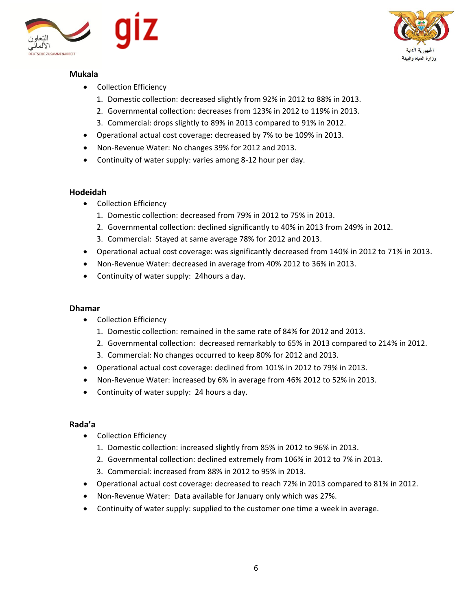

# **Mukala**

وز ار ة المياه و ال<mark>ر</mark>

- Collection Efficiency
	- 1. Domestic collection: decreased slightly from 92% in 2012 to 88% in 2013.
	- 2. Governmental collection: decreases from 123% in 2012 to 119% in 2013.
	- 3. Commercial: drops slightly to 89% in 2013 compared to 91% in 2012.
- Operational actual cost coverage: decreased by 7% to be 109% in 2013.
- Non-Revenue Water: No changes 39% for 2012 and 2013.
- Continuity of water supply: varies among 8-12 hour per day.

# **Hodeidah**

- Collection Efficiency
	- 1. Domestic collection: decreased from 79% in 2012 to 75% in 2013.
	- 2. Governmental collection: declined significantly to 40% in 2013 from 249% in 2012.
	- 3. Commercial: Stayed at same average 78% for 2012 and 2013.
- Operational actual cost coverage: was significantly decreased from 140% in 2012 to 71% in 2013.
- Non-Revenue Water: decreased in average from 40% 2012 to 36% in 2013.
- Continuity of water supply: 24hours a day.

# **Dhamar**

- Collection Efficiency
	- 1. Domestic collection: remained in the same rate of 84% for 2012 and 2013.
	- 2. Governmental collection: decreased remarkably to 65% in 2013 compared to 214% in 2012.
	- 3. Commercial: No changes occurred to keep 80% for 2012 and 2013.
- Operational actual cost coverage: declined from 101% in 2012 to 79% in 2013.
- Non-Revenue Water: increased by 6% in average from 46% 2012 to 52% in 2013.
- Continuity of water supply: 24 hours a day.

# **Rada'a**

- Collection Efficiency
	- 1. Domestic collection: increased slightly from 85% in 2012 to 96% in 2013.
	- 2. Governmental collection: declined extremely from 106% in 2012 to 7% in 2013.
	- 3. Commercial: increased from 88% in 2012 to 95% in 2013.
- Operational actual cost coverage: decreased to reach 72% in 2013 compared to 81% in 2012.
- Non-Revenue Water: Data available for January only which was 27%.
- Continuity of water supply: supplied to the customer one time a week in average.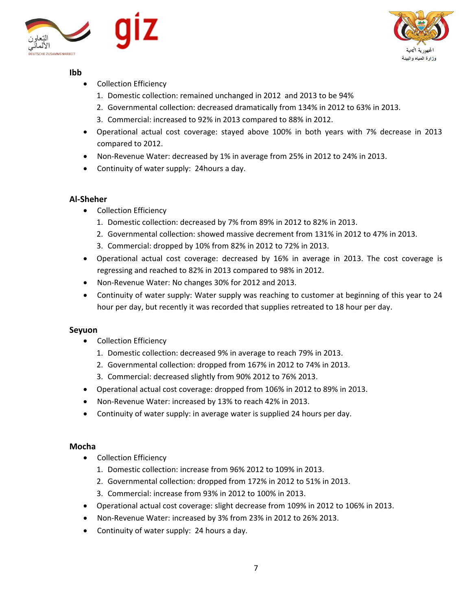



# **Ibb**

- Collection Efficiency
	- 1. Domestic collection: remained unchanged in 2012 and 2013 to be 94%
	- 2. Governmental collection: decreased dramatically from 134% in 2012 to 63% in 2013.
	- 3. Commercial: increased to 92% in 2013 compared to 88% in 2012.
- Operational actual cost coverage: stayed above 100% in both years with 7% decrease in 2013 compared to 2012.
- Non-Revenue Water: decreased by 1% in average from 25% in 2012 to 24% in 2013.
- Continuity of water supply: 24hours a day.

# **Al-Sheher**

- Collection Efficiency
	- 1. Domestic collection: decreased by 7% from 89% in 2012 to 82% in 2013.
	- 2. Governmental collection: showed massive decrement from 131% in 2012 to 47% in 2013.
	- 3. Commercial: dropped by 10% from 82% in 2012 to 72% in 2013.
- Operational actual cost coverage: decreased by 16% in average in 2013. The cost coverage is regressing and reached to 82% in 2013 compared to 98% in 2012.
- Non-Revenue Water: No changes 30% for 2012 and 2013.
- Continuity of water supply: Water supply was reaching to customer at beginning of this year to 24 hour per day, but recently it was recorded that supplies retreated to 18 hour per day.

# **Seyuon**

- Collection Efficiency
	- 1. Domestic collection: decreased 9% in average to reach 79% in 2013.
	- 2. Governmental collection: dropped from 167% in 2012 to 74% in 2013.
	- 3. Commercial: decreased slightly from 90% 2012 to 76% 2013.
- Operational actual cost coverage: dropped from 106% in 2012 to 89% in 2013.
- Non-Revenue Water: increased by 13% to reach 42% in 2013.
- Continuity of water supply: in average water is supplied 24 hours per day.

# **Mocha**

- Collection Efficiency
	- 1. Domestic collection: increase from 96% 2012 to 109% in 2013.
	- 2. Governmental collection: dropped from 172% in 2012 to 51% in 2013.
	- 3. Commercial: increase from 93% in 2012 to 100% in 2013.
- Operational actual cost coverage: slight decrease from 109% in 2012 to 106% in 2013.
- Non-Revenue Water: increased by 3% from 23% in 2012 to 26% 2013.
- Continuity of water supply: 24 hours a day.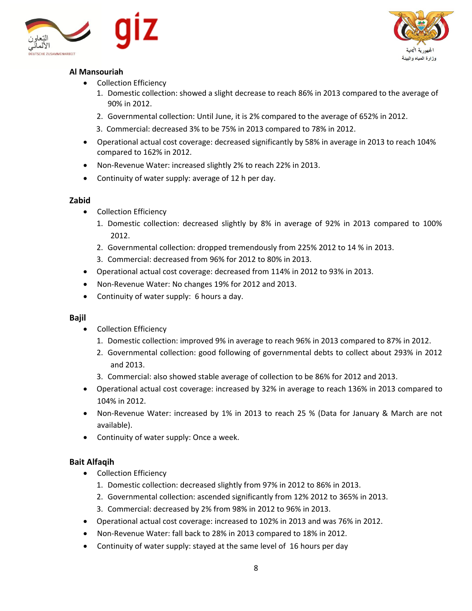



# **Al Mansouriah**

- Collection Efficiency
	- 1. Domestic collection: showed a slight decrease to reach 86% in 2013 compared to the average of 90% in 2012.
	- 2. Governmental collection: Until June, it is 2% compared to the average of 652% in 2012.
	- 3. Commercial: decreased 3% to be 75% in 2013 compared to 78% in 2012.
- Operational actual cost coverage: decreased significantly by 58% in average in 2013 to reach 104% compared to 162% in 2012.
- Non-Revenue Water: increased slightly 2% to reach 22% in 2013.
- Continuity of water supply: average of 12 h per day.

# **Zabid**

- Collection Efficiency
	- 1. Domestic collection: decreased slightly by 8% in average of 92% in 2013 compared to 100% 2012.
	- 2. Governmental collection: dropped tremendously from 225% 2012 to 14 % in 2013.
	- 3. Commercial: decreased from 96% for 2012 to 80% in 2013.
- Operational actual cost coverage: decreased from 114% in 2012 to 93% in 2013.
- Non-Revenue Water: No changes 19% for 2012 and 2013.
- Continuity of water supply: 6 hours a day.

# **Bajil**

- Collection Efficiency
	- 1. Domestic collection: improved 9% in average to reach 96% in 2013 compared to 87% in 2012.
	- 2. Governmental collection: good following of governmental debts to collect about 293% in 2012 and 2013.
	- 3. Commercial: also showed stable average of collection to be 86% for 2012 and 2013.
- Operational actual cost coverage: increased by 32% in average to reach 136% in 2013 compared to 104% in 2012.
- Non-Revenue Water: increased by 1% in 2013 to reach 25 % (Data for January & March are not available).
- Continuity of water supply: Once a week.

# **Bait Alfaqih**

- Collection Efficiency
	- 1. Domestic collection: decreased slightly from 97% in 2012 to 86% in 2013.
	- 2. Governmental collection: ascended significantly from 12% 2012 to 365% in 2013.
	- 3. Commercial: decreased by 2% from 98% in 2012 to 96% in 2013.
- Operational actual cost coverage: increased to 102% in 2013 and was 76% in 2012.
- Non-Revenue Water: fall back to 28% in 2013 compared to 18% in 2012.
- Continuity of water supply: stayed at the same level of 16 hours per day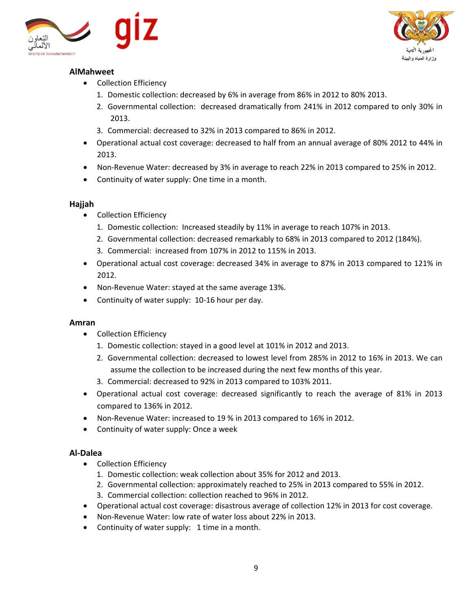





- Collection Efficiency
	- 1. Domestic collection: decreased by 6% in average from 86% in 2012 to 80% 2013.
	- 2. Governmental collection: decreased dramatically from 241% in 2012 compared to only 30% in 2013.
	- 3. Commercial: decreased to 32% in 2013 compared to 86% in 2012.
- Operational actual cost coverage: decreased to half from an annual average of 80% 2012 to 44% in 2013.
- Non-Revenue Water: decreased by 3% in average to reach 22% in 2013 compared to 25% in 2012.
- Continuity of water supply: One time in a month.

# **Hajjah**

- Collection Efficiency
	- 1. Domestic collection: Increased steadily by 11% in average to reach 107% in 2013.
	- 2. Governmental collection: decreased remarkably to 68% in 2013 compared to 2012 (184%).
	- 3. Commercial: increased from 107% in 2012 to 115% in 2013.
- Operational actual cost coverage: decreased 34% in average to 87% in 2013 compared to 121% in 2012.
- Non-Revenue Water: stayed at the same average 13%.
- Continuity of water supply: 10-16 hour per day.

# **Amran**

- Collection Efficiency
	- 1. Domestic collection: stayed in a good level at 101% in 2012 and 2013.
	- 2. Governmental collection: decreased to lowest level from 285% in 2012 to 16% in 2013. We can assume the collection to be increased during the next few months of this year.
	- 3. Commercial: decreased to 92% in 2013 compared to 103% 2011.
- Operational actual cost coverage: decreased significantly to reach the average of 81% in 2013 compared to 136% in 2012.
- Non-Revenue Water: increased to 19 % in 2013 compared to 16% in 2012.
- Continuity of water supply: Once a week

# **Al-Dalea**

- Collection Efficiency
	- 1. Domestic collection: weak collection about 35% for 2012 and 2013.
	- 2. Governmental collection: approximately reached to 25% in 2013 compared to 55% in 2012.
	- 3. Commercial collection: collection reached to 96% in 2012.
- Operational actual cost coverage: disastrous average of collection 12% in 2013 for cost coverage.
- Non-Revenue Water: low rate of water loss about 22% in 2013.
- Continuity of water supply: 1 time in a month.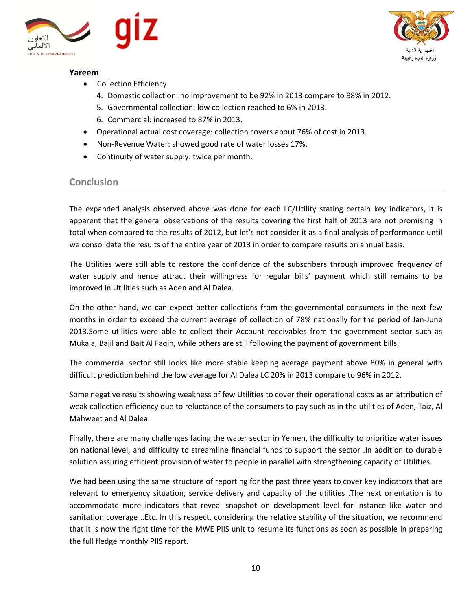

# **Yareem**



- Collection Efficiency
	- 4. Domestic collection: no improvement to be 92% in 2013 compare to 98% in 2012.
	- 5. Governmental collection: low collection reached to 6% in 2013.
	- 6. Commercial: increased to 87% in 2013.
- Operational actual cost coverage: collection covers about 76% of cost in 2013.
- Non-Revenue Water: showed good rate of water losses 17%.
- Continuity of water supply: twice per month.

# **Conclusion**

The expanded analysis observed above was done for each LC/Utility stating certain key indicators, it is apparent that the general observations of the results covering the first half of 2013 are not promising in total when compared to the results of 2012, but let's not consider it as a final analysis of performance until we consolidate the results of the entire year of 2013 in order to compare results on annual basis.

The Utilities were still able to restore the confidence of the subscribers through improved frequency of water supply and hence attract their willingness for regular bills' payment which still remains to be improved in Utilities such as Aden and Al Dalea.

On the other hand, we can expect better collections from the governmental consumers in the next few months in order to exceed the current average of collection of 78% nationally for the period of Jan-June 2013.Some utilities were able to collect their Account receivables from the government sector such as Mukala, Bajil and Bait Al Faqih, while others are still following the payment of government bills.

The commercial sector still looks like more stable keeping average payment above 80% in general with difficult prediction behind the low average for Al Dalea LC 20% in 2013 compare to 96% in 2012.

Some negative results showing weakness of few Utilities to cover their operational costs as an attribution of weak collection efficiency due to reluctance of the consumers to pay such as in the utilities of Aden, Taiz, Al Mahweet and Al Dalea.

Finally, there are many challenges facing the water sector in Yemen, the difficulty to prioritize water issues on national level, and difficulty to streamline financial funds to support the sector .In addition to durable solution assuring efficient provision of water to people in parallel with strengthening capacity of Utilities.

We had been using the same structure of reporting for the past three years to cover key indicators that are relevant to emergency situation, service delivery and capacity of the utilities .The next orientation is to accommodate more indicators that reveal snapshot on development level for instance like water and sanitation coverage ..Etc. In this respect, considering the relative stability of the situation, we recommend that it is now the right time for the MWE PIIS unit to resume its functions as soon as possible in preparing the full fledge monthly PIIS report.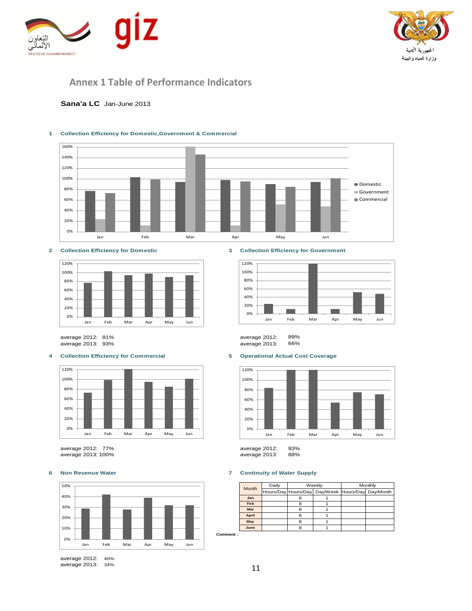



# **Annex 1 Table of Performance Indicators**

### **Sana'a LC** Jan-June 2013

#### **1 Collection Efficiency for Domestic,Government & Commercial**





average 2013: 93% average 2013: 66%

#### **4 Collection Efficiency for Commercial 5 Operational Actual Cost Coverage**



average 2012: 77% average 2012: 93% average 2013: 100%



average 2012: 40% average 2013: 34%

### **2 Collection Efficiency for Domestic 3 Collection Efficiency for Government**



average 2012: 81% average 2012: 89%



#### **6 Non Revenue Water 7 Continuity of Water Supply**

|          | <b>Month</b> | Daily | Weekly |                                                  | Monthly |  |
|----------|--------------|-------|--------|--------------------------------------------------|---------|--|
|          |              |       |        | Hours/Day Hours/Day Day/Week Hours/Day Day/Month |         |  |
|          | Jan          |       |        |                                                  |         |  |
|          | Feb          |       |        |                                                  |         |  |
|          | Mar          |       |        |                                                  |         |  |
|          | April        |       | я      |                                                  |         |  |
|          | May          |       | R      |                                                  |         |  |
|          | June         |       | я      |                                                  |         |  |
| Comment: |              |       |        |                                                  |         |  |

11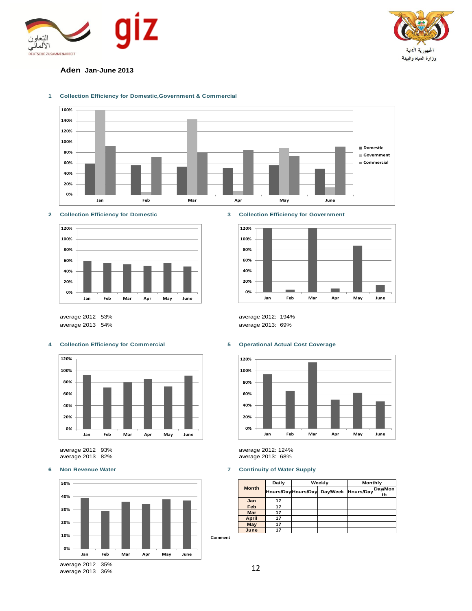



### **Aden Jan-June 2013**



#### **1 Collection Efficiency for Domestic,Government & Commercial**



**2 Collection Efficiency for Domestic 3 Collection Efficiency for Government**



average 2012: 53% average 2012: 194% average 2013: 54% average 2013: 69%

### **4 Collection Efficiency for Commercial 5 Operational Actual Cost Coverage**





average 2013: 36%



average 2012: 93% average 2012: 124% average 2013: 82% average 2013: 68%

### **6 Non Revenue Water 7 Continuity of Water Supply**

|              | Daily |                     | Weekly             | Monthly |               |
|--------------|-------|---------------------|--------------------|---------|---------------|
| <b>Month</b> |       | Hours/Day Hours/Day | Day/Week Hours/Day |         | Day/Mon<br>th |
| Jan          | 17    |                     |                    |         |               |
| Feb          | 17    |                     |                    |         |               |
| <b>Mar</b>   | 17    |                     |                    |         |               |
| <b>April</b> | 17    |                     |                    |         |               |
| May          | 17    |                     |                    |         |               |
| June         | 17    |                     |                    |         |               |

12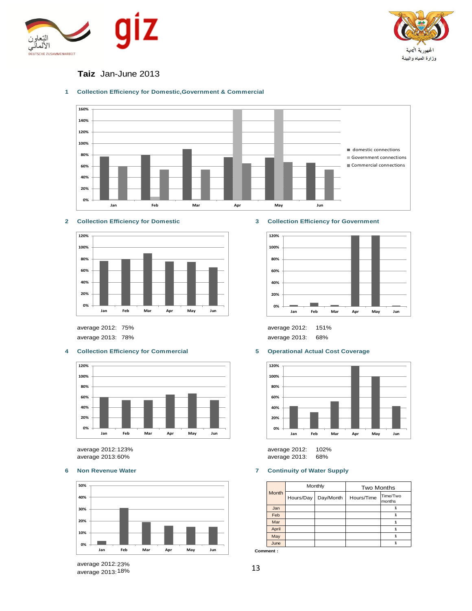



# **Taiz** Jan-June 2013







average 2012:

### **4 Collection Efficiency for Commercial 5 Operational Actual Cost Coverage**



average 2012: 123%



**2 Collection Efficiency for Domestic 3 Collection Efficiency for Government**



75% 151% average 2012: average 2013: 78% average 2013: 68%



average 2012: 102%<br>average 2013: 68% average 2013:60% average 2013: 68%

### **6 Non Revenue Water 7 Continuity of Water Supply**

| <b>Month</b> |           | Monthly   | <b>Two Months</b> |                    |  |
|--------------|-----------|-----------|-------------------|--------------------|--|
|              | Hours/Day | Day/Month | Hours/Time        | Time/Two<br>months |  |
| Jan          |           |           |                   |                    |  |
| Feb          |           |           |                   |                    |  |
| Mar          |           |           |                   |                    |  |
| April        |           |           |                   |                    |  |
| May          |           |           |                   |                    |  |
| June         |           |           |                   |                    |  |

**Comment :**

average 2012: 23% average 2013:18%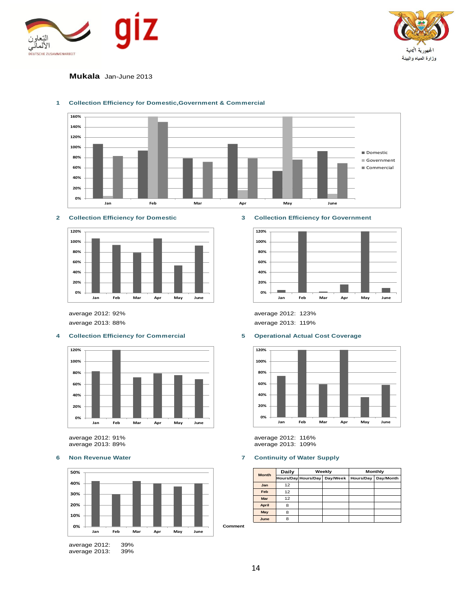



### **Mukala** Jan-June 2013



### **1 Collection Efficiency for Domestic,Government & Commercial**

#### **2 Collection Efficiency for Domestic 3 Collection Efficiency for Government**



### **4 Collection Efficiency for Commercial 5 Operational Actual Cost Coverage**



average 2013:





average 2012: 92% average 2012: 123% average 2013: 88% average 2013: 119%



average 2012: 91% average 2012: 116% average 2013: 109%

### **6 Non Revenue Water 7 Continuity of Water Supply**

| <b>Month</b> | Daily |                                 | Weekly | Monthly          |           |
|--------------|-------|---------------------------------|--------|------------------|-----------|
|              |       | Hours/Day Hours/Day<br>Day/Week |        | <b>Hours/Day</b> | Day/Month |
| Jan          | 12    |                                 |        |                  |           |
| Feb          | 12    |                                 |        |                  |           |
| Mar          | 12    |                                 |        |                  |           |
| <b>April</b> | 8     |                                 |        |                  |           |
| May          | я     |                                 |        |                  |           |
| June         | 8     |                                 |        |                  |           |

**Comment**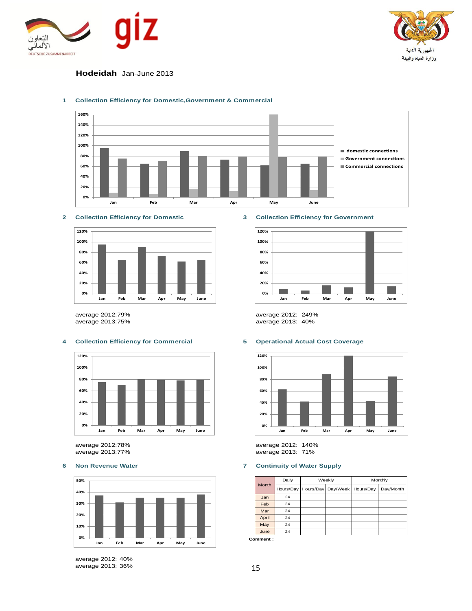



### **Hodeidah** Jan-June 2013



#### **1 Collection Efficiency for Domestic,Government & Commercial**





#### **4 Collection Efficiency for Commercial 5 Operational Actual Cost Coverage**



average 2013:77% average 2013: 71%



average 2012: 40% average 2013: 36%

#### **2 Collection Efficiency for Domestic 3 Collection Efficiency for Government**



average 2012:79% average 2012: 249% average 2013: 40%



average 2012:78% average 2012: 140%

### **6 Non Revenue Water 7 Continuity of Water Supply**

|              | Daily |                                              | Weekly | Monthly |           |
|--------------|-------|----------------------------------------------|--------|---------|-----------|
| <b>Month</b> |       | Hours/Day   Hours/Day   Day/Week   Hours/Day |        |         | Day/Month |
| Jan          | 24    |                                              |        |         |           |
| Feb          | 24    |                                              |        |         |           |
| Mar          | 24    |                                              |        |         |           |
| April        | 24    |                                              |        |         |           |
| May          | 24    |                                              |        |         |           |
| June         | 24    |                                              |        |         |           |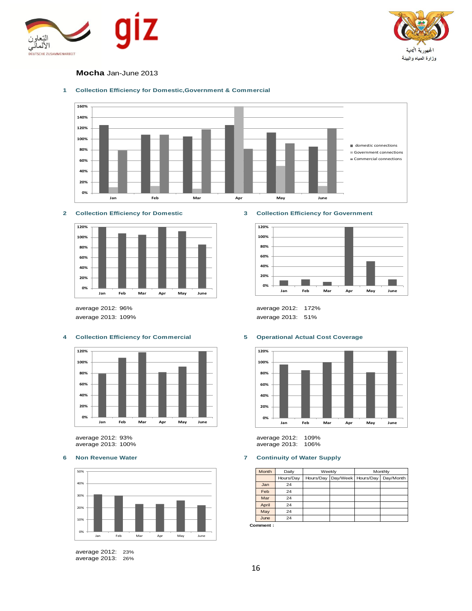



### **Mocha** Jan-June 2013



### **1 Collection Efficiency for Domestic,Government & Commercial**





### **4 Collection Efficiency for Commercial 5 Operational Actual Cost Coverage**



average 2013: 100% average 2013: 106%



average 2012: 23% average 2013: 26%

#### **2 Collection Efficiency for Domestic 3 Collection Efficiency for Government**



average 2012: 96% average 2012: 172% average 2013: 109% average 2013: 51%



average 2012: 93% average 2012: 109%

**6 Non Revenue Water 7 Continuity of Water Supply**

| Month | Daily     | Weekly |  |                                  | Monthly   |
|-------|-----------|--------|--|----------------------------------|-----------|
|       | Hours/Day |        |  | Hours/Day   Day/Week   Hours/Day | Day/Month |
| Jan   | 24        |        |  |                                  |           |
| Feb   | 24        |        |  |                                  |           |
| Mar   | 24        |        |  |                                  |           |
| April | 24        |        |  |                                  |           |
| May   | 24        |        |  |                                  |           |
| June  | 24        |        |  |                                  |           |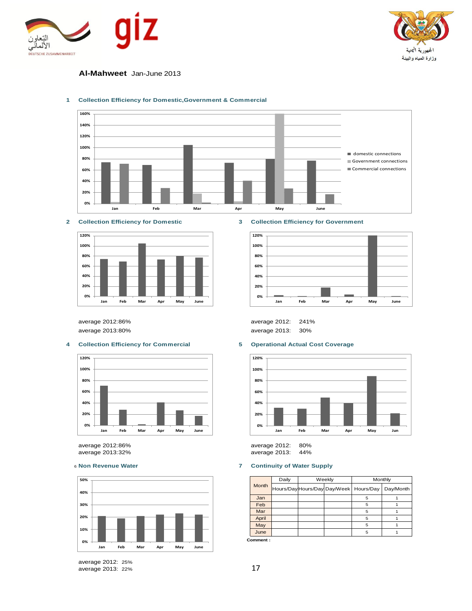



### **Al-Mahweet** Jan-June 2013



#### **1 Collection Efficiency for Domestic,Government & Commercial**

**2 Collection Efficiency for Domestic 3 Collection Efficiency for Government**



#### **4 Collection Efficiency for Commercial 5 Operational Actual Cost Coverage**



average 2012:86% average 2012: 80% average 2013:32% average 2013: 44%



average 2012: 25% average 2013: 22%



average 2012:86% average 2012: 241% average 2013:80% average 2013: 30%



### <sup>6</sup> **Non Revenue Water 7 Continuity of Water Supply**

| <b>Month</b> | Daily | Weekly |                                          | Monthly   |
|--------------|-------|--------|------------------------------------------|-----------|
|              |       |        | Hours/Day Hours/Day Day/Week   Hours/Day | Day/Month |
| Jan          |       |        | 5                                        |           |
| Feb          |       |        | 5                                        |           |
| Mar          |       |        | 5                                        |           |
| April        |       |        | 5                                        |           |
| May          |       |        | 5                                        |           |
| June         |       |        | 5                                        |           |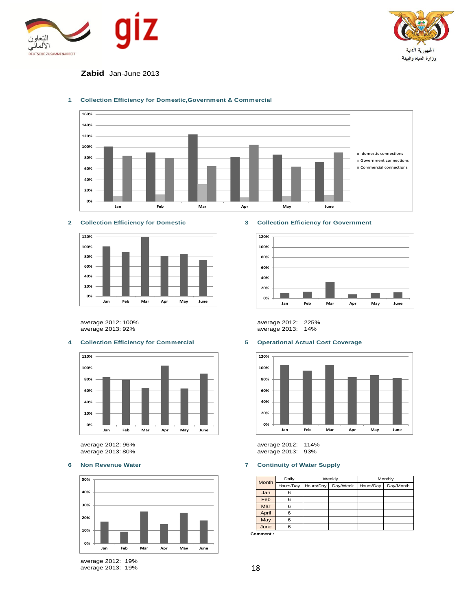



### **Zabid** Jan-June 2013



#### **1 Collection Efficiency for Domestic,Government & Commercial**



average 2013: 92% average 2013: 14%

### **4 Collection Efficiency for Commercial 5 Operational Actual Cost Coverage**



average 2013: 80% average 2013: 93%



average 2012: 19% average 2013: 19%

### **2 Collection Efficiency for Domestic 3 Collection Efficiency for Government**



average 2012: 100% average 2012: 225%



average 2012: 96% average 2012: 114%

### **6 Non Revenue Water 7 Continuity of Water Supply**

|              | Daily     |                       | Weekly | Monthly   |           |
|--------------|-----------|-----------------------|--------|-----------|-----------|
| <b>Month</b> | Hours/Day | Day/Week<br>Hours/Day |        | Hours/Day | Day/Month |
| Jan          | 6         |                       |        |           |           |
| Feb          | 6         |                       |        |           |           |
| Mar          | 6         |                       |        |           |           |
| April        | 6         |                       |        |           |           |
| May          | 6         |                       |        |           |           |
| June         | 6         |                       |        |           |           |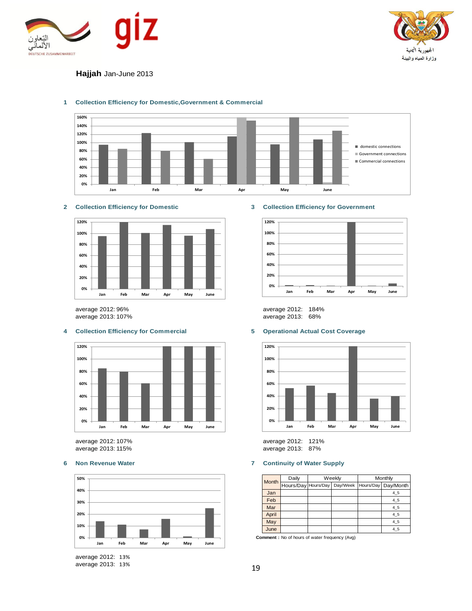



## **Hajjah** Jan-June 2013



### **1 Collection Efficiency for Domestic,Government & Commercial**

### **2 Collection Efficiency for Domestic 3 Collection Efficiency for Government**



average 2013: 107% average 2013: 68%

### **4 Collection Efficiency for Commercial 5 Operational Actual Cost Coverage**



average 2012: 107% average 2012: 121%



average 2012: 13% average 2013: 13%



average 2012: 96% average 2012: 184%



average 2013: 87%

### **6 Non Revenue Water 7 Continuity of Water Supply**

| Month | Daily               | Weekly |          | Monthly |                       |
|-------|---------------------|--------|----------|---------|-----------------------|
|       | Hours/Day Hours/Day |        | Day/Week |         | Hours/Day   Day/Month |
| Jan   |                     |        |          |         | 4 5                   |
| Feb   |                     |        |          |         | 4 5                   |
| Mar   |                     |        |          |         | 4 5                   |
| April |                     |        |          |         | 4 5                   |
| May   |                     |        |          |         | 4 5                   |
| June  |                     |        |          |         | 4 5                   |

 **Comment :** No of hours of water frequency (Avg)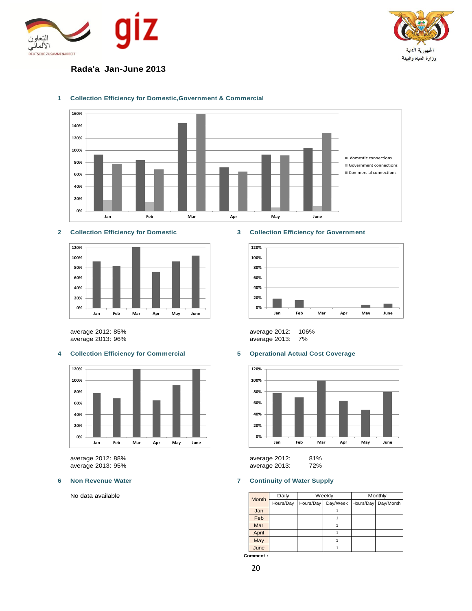



# **Rada'a Jan-June 2013**



### **1 Collection Efficiency for Domestic,Government & Commercial**



average 2013: 96% average 2013: 7%



average 2012: 88% average 2012: 81%

No data available

#### **2 Collection Efficiency for Domestic 3 Collection Efficiency for Government**



average 2012: 85% average 2012: 106%

### **4 Collection Efficiency for Commercial 5 Operational Actual Cost Coverage**



average 2013: 95% average 2013: 72%

### **6 Non Revenue Water 7 Continuity of Water Supply**

|       | Daily     | Weekly<br>Monthly |          |           |           |
|-------|-----------|-------------------|----------|-----------|-----------|
| Month | Hours/Day | Hours/Day         | Day/Week | Hours/Day | Day/Month |
| Jan   |           |                   |          |           |           |
| Feb   |           |                   |          |           |           |
| Mar   |           |                   |          |           |           |
| April |           |                   |          |           |           |
| May   |           |                   |          |           |           |
| June  |           |                   |          |           |           |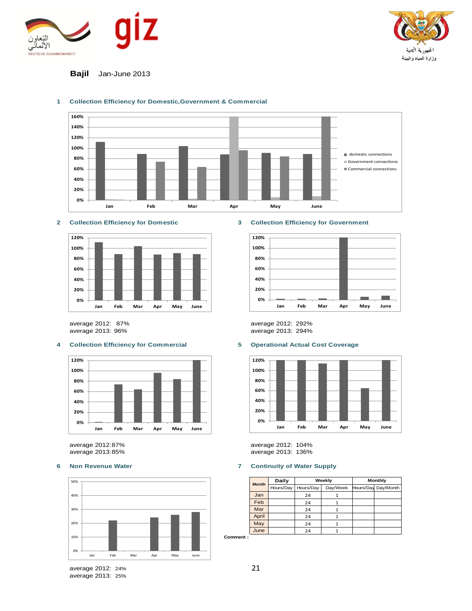



### **Bajil** Jan-June 2013



### **1 Collection Efficiency for Domestic,Government & Commercial**



average 2012: 87% average 2012: 292%

### **4 Collection Efficiency for Commercial 5 Operational Actual Cost Coverage**



average 2013:85% average 2013: 136%



### **2 Collection Efficiency for Domestic 3 Collection Efficiency for Government**



average 2013: 294%



average 2012:87% average 2012: 104%

### **6 Non Revenue Water 7 Continuity of Water Supply**

| <b>Month</b> | Daily     |           | Weekly   | <b>Monthly</b> |                     |  |
|--------------|-----------|-----------|----------|----------------|---------------------|--|
|              | Hours/Day | Hours/Day | Day/Week |                | Hours/Day Day/Month |  |
| Jan          |           | 24        |          |                |                     |  |
| Feb          |           | 24        |          |                |                     |  |
| Mar          |           | 24        |          |                |                     |  |
| April        |           | 24        |          |                |                     |  |
| May          |           | 24        |          |                |                     |  |
| June         |           | 24        |          |                |                     |  |

**Comment :**

average 2012: 24% average 2013: 25%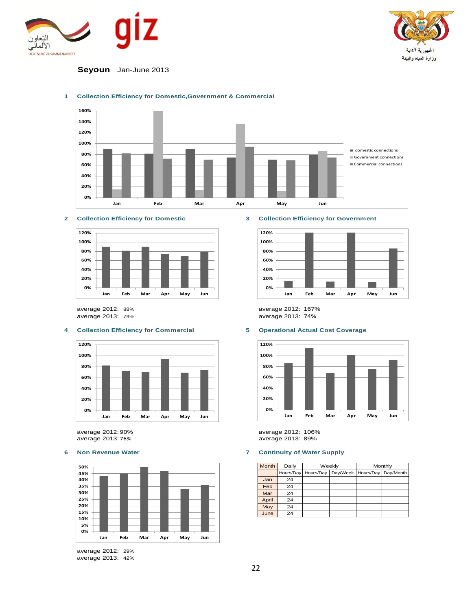



**Seyoun** Jan-June 2013



### **1 Collection Efficiency for Domestic,Government & Commercial**



### **4 Collection Efficiency for Commercial 5 Operational Actual Cost Coverage**



average 2012: 90% average 2012: 106% average 2013: 76% average 2013: 89%



average 2012: 29% average 2013: 42%

### **2 Collection Efficiency for Domestic 3 Collection Efficiency for Government**



average 2012: 88% average 2012: 167% average 2013: 79% average 2013: 74%



### **6 Non Revenue Water 7 Continuity of Water Supply**

| Month | Daily     |           | Weekly | Monthly |                                  |  |
|-------|-----------|-----------|--------|---------|----------------------------------|--|
|       | Hours/Day | Hours/Day |        |         | Day/Week   Hours/Day   Day/Month |  |
| Jan   | 24        |           |        |         |                                  |  |
| Feb   | 24        |           |        |         |                                  |  |
| Mar   | 24        |           |        |         |                                  |  |
| April | 24        |           |        |         |                                  |  |
| May   | 24        |           |        |         |                                  |  |
| June  | 24        |           |        |         |                                  |  |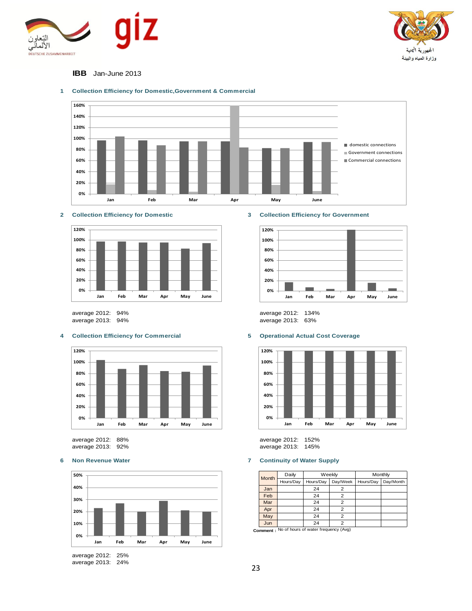



### **IBB** Jan-June 2013



### **1 Collection Efficiency for Domestic,Government & Commercial**





#### **4 Collection Efficiency for Commercial 5 Operational Actual Cost Coverage**





average 2012: 25% average 2013: 24%



average 2012: 94% average 2012: 134% average 2013: 63%



average 2012: 88% average 2012: 152% average 2013: 145%

#### **6 Non Revenue Water 7 Continuity of Water Supply**

| Month | Daily     |           | Weekly   | Monthly   |           |  |
|-------|-----------|-----------|----------|-----------|-----------|--|
|       | Hours/Day | Hours/Day | Day/Week | Hours/Day | Day/Month |  |
| Jan   |           | 24        | 2        |           |           |  |
| Feb   |           | 24        | 2        |           |           |  |
| Mar   |           | 24        | 2        |           |           |  |
| Apr   |           | 24        | 2        |           |           |  |
| May   |           | 24        | 2        |           |           |  |
| Jun   |           | 24        | っ        |           |           |  |

**Comment :** No of hours of water frequency (Avg)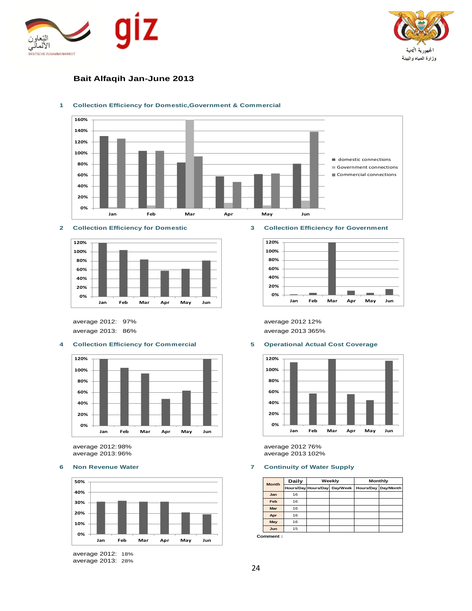



## **Bait Alfaqih Jan-June 2013**



### **1 Collection Efficiency for Domestic,Government & Commercial**





average 2012: 97% average 2012:12% average 2013: 86% average 2013:365%

### **4 Collection Efficiency for Commercial 5 Operational Actual Cost Coverage**



average 2012:98% average 2012:76%



average 2012: 18% average 2013: 28%

#### **2 Collection Efficiency for Domestic 3 Collection Efficiency for Government**





average 2013 102%

### **6 Non Revenue Water 7 Continuity of Water Supply**

| <b>Month</b> | Daily |                     | Weekly   | Monthly |                     |  |  |
|--------------|-------|---------------------|----------|---------|---------------------|--|--|
|              |       | Hours/Day Hours/Day | Day/Week |         | Hours/Day Day/Month |  |  |
| Jan          | 16    |                     |          |         |                     |  |  |
| Feb          | 16    |                     |          |         |                     |  |  |
| Mar          | 16    |                     |          |         |                     |  |  |
| Apr          | 16    |                     |          |         |                     |  |  |
| May          | 16    |                     |          |         |                     |  |  |
| Jun          | 15    |                     |          |         |                     |  |  |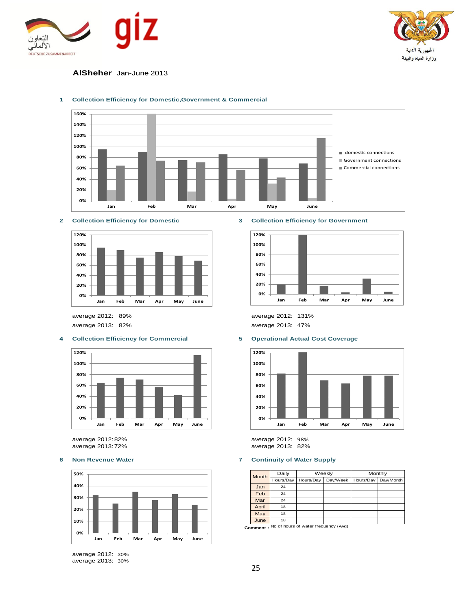



### **AlSheher** Jan-June 2013



#### **1 Collection Efficiency for Domestic,Government & Commercial**

### **2 Collection Efficiency for Domestic 3 Collection Efficiency for Government**



average 2013: 82% average 2013: 47%

### **4 Collection Efficiency for Commercial 5 Operational Actual Cost Coverage**



average 2012:82% average 2012: 98%



average 2012: 30% average 2013: 30%



average 2012: 89% average 2012: 131%



average 2013: 82%

#### **6 Non Revenue Water 7 Continuity of Water Supply**

| <b>Month</b> | Daily     |           | Weekly   | Monthly   |           |  |
|--------------|-----------|-----------|----------|-----------|-----------|--|
|              | Hours/Day | Hours/Day | Day/Week | Hours/Day | Day/Month |  |
| Jan          | 24        |           |          |           |           |  |
| Feb          | 24        |           |          |           |           |  |
| Mar          | 24        |           |          |           |           |  |
| April        | 18        |           |          |           |           |  |
| May          | 18        |           |          |           |           |  |
| June         | 18        |           |          |           |           |  |

**Comment :** No of hours of water frequency (Avg)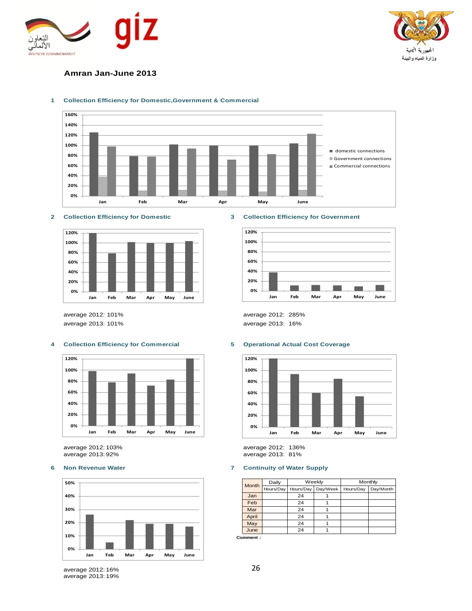



### **Amran Jan-June 2013**



#### **1 Collection Efficiency for Domestic,Government & Commercial**



average 2013: 101% average 2013: 16%

### **4 Collection Efficiency for Commercial 5 Operational Actual Cost Coverage**



average 2012: 103% average 2012: 136%



#### **2 Collection Efficiency for Domestic 3 Collection Efficiency for Government**



average 2012: 101% average 2012: 285%



average 2013: 81%

#### **6 Non Revenue Water 7 Continuity of Water Supply**

| <b>Month</b> | Daily     |           | Weekly   | Monthly   |           |  |
|--------------|-----------|-----------|----------|-----------|-----------|--|
|              | Hours/Day | Hours/Day | Day/Week | Hours/Day | Day/Month |  |
| Jan          |           | 24        |          |           |           |  |
| Feb          |           | 24        |          |           |           |  |
| Mar          |           | 24        |          |           |           |  |
| April        |           | 24        |          |           |           |  |
| May          |           | 24        |          |           |           |  |
| June         |           | 24        |          |           |           |  |

**Comment :**

average 2012: 16% average 2013: 19%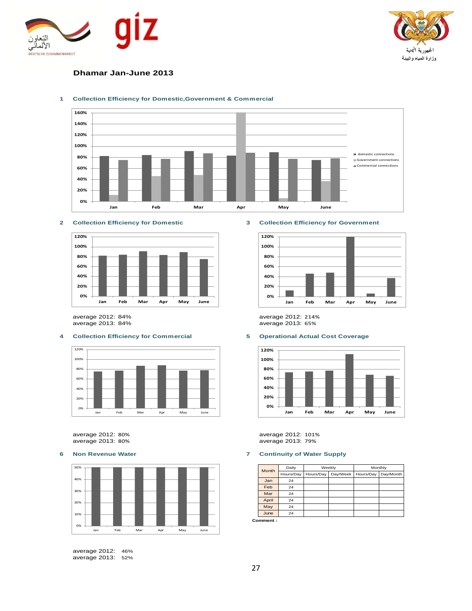



### **Dhamar Jan-June 2013**



### **1 Collection Efficiency for Domestic,Government & Commercial**



average 2012: 84% average 2012: 214% average 2013: 84%

### **4 Collection Efficiency for Commercial 5 Operational Actual Cost Coverage**



average 2013: 80% average 2013: 79%



average 2012: 46% average 2013: 52%

### **2 Collection Efficiency for Domestic 3 Collection Efficiency for Government**





average 2012: 80% average 2012: 101%

#### **6 Non Revenue Water 7 Continuity of Water Supply**

| Month | Daily     |           | Weekly   | Monthly   |           |  |
|-------|-----------|-----------|----------|-----------|-----------|--|
|       | Hours/Day | Hours/Day | Day/Week | Hours/Day | Day/Month |  |
| Jan   | 24        |           |          |           |           |  |
| Feb   | 24        |           |          |           |           |  |
| Mar   | 24        |           |          |           |           |  |
| April | 24        |           |          |           |           |  |
| May   | 24        |           |          |           |           |  |
| June  | 24        |           |          |           |           |  |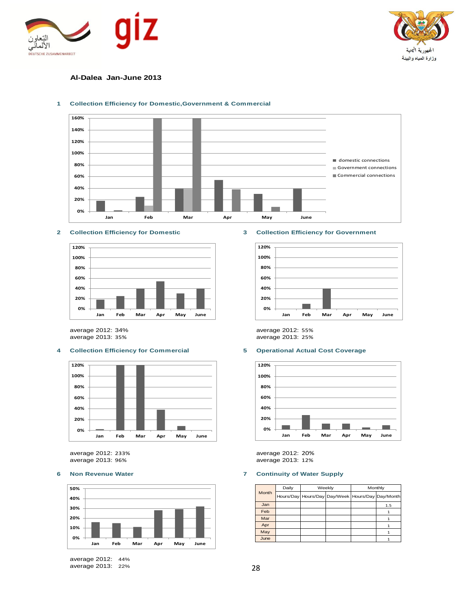



### **Al-Dalea Jan-June 2013**



#### **1 Collection Efficiency for Domestic,Government & Commercial**



average 2012: 34% average 2012: 55% average 2013: 35% average 2013: 25%

#### **4 Collection Efficiency for Commercial 5 Operational Actual Cost Coverage**



average 2012: 233% average 2012: 20%



average 2012: 44% average 2013: 22%

#### **2 Collection Efficiency for Domestic 3 Collection Efficiency for Government**





average 2013: 12%

#### **6 Non Revenue Water 7 Continuity of Water Supply**

|       | Daily |  | Weekly                                           | Monthly |     |  |
|-------|-------|--|--------------------------------------------------|---------|-----|--|
| Month |       |  | Hours/Day Hours/Day Day/Week Hours/Day Day/Month |         |     |  |
| Jan   |       |  |                                                  |         | 1.5 |  |
| Feb   |       |  |                                                  |         |     |  |
| Mar   |       |  |                                                  |         |     |  |
| Apr   |       |  |                                                  |         |     |  |
| May   |       |  |                                                  |         |     |  |
| June  |       |  |                                                  |         |     |  |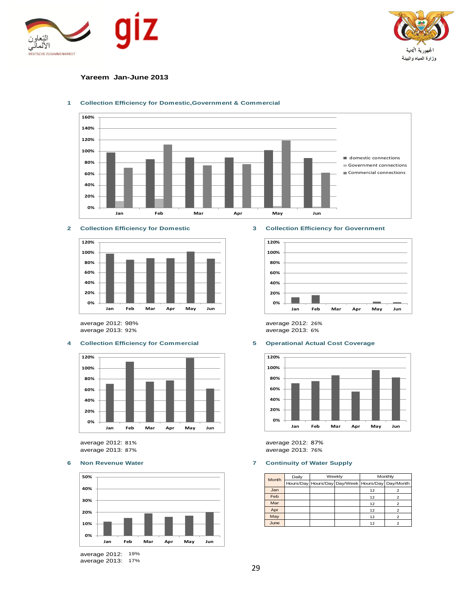



### **Yareem Jan-June 2013**



#### **1 Collection Efficiency for Domestic,Government & Commercial**





average 2012: 98% average 2012: 26% average 2013: 92% average 2013: 6%

### **4 Collection Efficiency for Commercial 5 Operational Actual Cost Coverage**



average 2012: 81% average 2012: 87%



average 2012: 19% average 2013: 17%

### **2 Collection Efficiency for Domestic 3 Collection Efficiency for Government**





average 2013: 76%

#### **6 Non Revenue Water 7 Continuity of Water Supply**

| Month | Daily |                                                  | Weekly | Monthly |  |  |
|-------|-------|--------------------------------------------------|--------|---------|--|--|
|       |       | Hours/Day Hours/Day Day/Week Hours/Day Day/Month |        |         |  |  |
| Jan   |       |                                                  |        | 12      |  |  |
| Feb   |       |                                                  |        | 12      |  |  |
| Mar   |       |                                                  |        | 12      |  |  |
| Apr   |       |                                                  |        | 12      |  |  |
| May   |       |                                                  |        | 12      |  |  |
| June  |       |                                                  |        | 12      |  |  |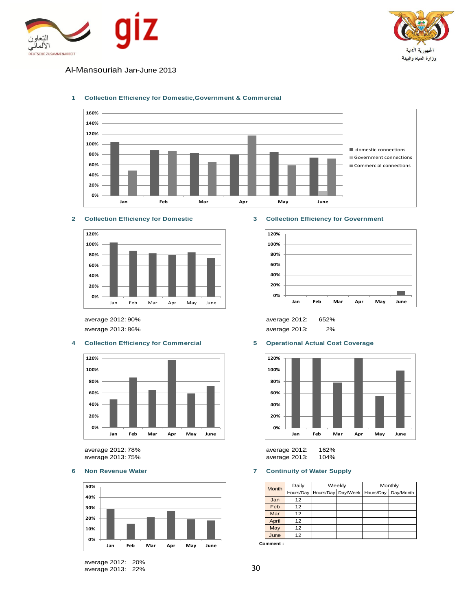



Al-Mansouriah Jan-June 2013



### **1 Collection Efficiency for Domestic,Government & Commercial**



### **4 Collection Efficiency for Commercial 5 Operational Actual Cost Coverage**



average 2013: 75% average 2013: 104%



average 2012: 20% average 2013: 22%

### **2 Collection Efficiency for Domestic 3 Collection Efficiency for Government**



average 2012: 90% average 2012: 652% average 2013: 86% average 2013: 2%



average 2012: 78% average 2012: 162%

### **6 Non Revenue Water 7 Continuity of Water Supply**

|       | Daily     | Weekly                           | Monthly |           |  |
|-------|-----------|----------------------------------|---------|-----------|--|
| Month | Hours/Day | Hours/Day   Day/Week   Hours/Day |         | Day/Month |  |
| Jan   | 12        |                                  |         |           |  |
| Feb   | 12        |                                  |         |           |  |
| Mar   | 12        |                                  |         |           |  |
| April | 12        |                                  |         |           |  |
| May   | 12        |                                  |         |           |  |
| June  | 12        |                                  |         |           |  |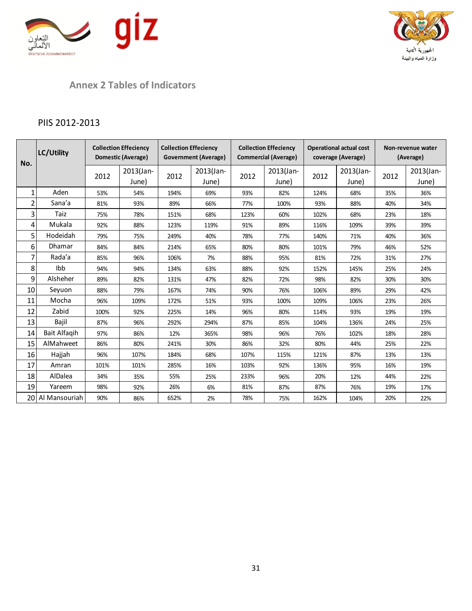



# **Annex 2 Tables of Indicators**

# PIIS 2012-2013

| No.            | LC/Utility    | <b>Collection Effeciency</b><br>Domestic (Average) |                    | <b>Collection Effeciency</b><br><b>Government (Average)</b> |                    | <b>Collection Effeciency</b><br><b>Commercial (Average)</b> |                    | <b>Operational actual cost</b><br>coverage (Average) |                    | Non-revenue water<br>(Average) |                    |
|----------------|---------------|----------------------------------------------------|--------------------|-------------------------------------------------------------|--------------------|-------------------------------------------------------------|--------------------|------------------------------------------------------|--------------------|--------------------------------|--------------------|
|                |               | 2012                                               | 2013(Jan-<br>June) | 2012                                                        | 2013(Jan-<br>June) | 2012                                                        | 2013(Jan-<br>June) | 2012                                                 | 2013(Jan-<br>June) | 2012                           | 2013(Jan-<br>June) |
| 1              | Aden          | 53%                                                | 54%                | 194%                                                        | 69%                | 93%                                                         | 82%                | 124%                                                 | 68%                | 35%                            | 36%                |
| $\overline{2}$ | Sana'a        | 81%                                                | 93%                | 89%                                                         | 66%                | 77%                                                         | 100%               | 93%                                                  | 88%                | 40%                            | 34%                |
| 3              | Taiz          | 75%                                                | 78%                | 151%                                                        | 68%                | 123%                                                        | 60%                | 102%                                                 | 68%                | 23%                            | 18%                |
| 4              | Mukala        | 92%                                                | 88%                | 123%                                                        | 119%               | 91%                                                         | 89%                | 116%                                                 | 109%               | 39%                            | 39%                |
| 5              | Hodeidah      | 79%                                                | 75%                | 249%                                                        | 40%                | 78%                                                         | 77%                | 140%                                                 | 71%                | 40%                            | 36%                |
| 6              | <b>Dhamar</b> | 84%                                                | 84%                | 214%                                                        | 65%                | 80%                                                         | 80%                | 101%                                                 | 79%                | 46%                            | 52%                |
| 7              | Rada'a        | 85%                                                | 96%                | 106%                                                        | 7%                 | 88%                                                         | 95%                | 81%                                                  | 72%                | 31%                            | 27%                |
| 8              | Ibb           | 94%                                                | 94%                | 134%                                                        | 63%                | 88%                                                         | 92%                | 152%                                                 | 145%               | 25%                            | 24%                |
| 9              | Alsheher      | 89%                                                | 82%                | 131%                                                        | 47%                | 82%                                                         | 72%                | 98%                                                  | 82%                | 30%                            | 30%                |
| 10             | Seyuon        | 88%                                                | 79%                | 167%                                                        | 74%                | 90%                                                         | 76%                | 106%                                                 | 89%                | 29%                            | 42%                |
| 11             | Mocha         | 96%                                                | 109%               | 172%                                                        | 51%                | 93%                                                         | 100%               | 109%                                                 | 106%               | 23%                            | 26%                |
| 12             | Zabid         | 100%                                               | 92%                | 225%                                                        | 14%                | 96%                                                         | 80%                | 114%                                                 | 93%                | 19%                            | 19%                |
| 13             | Bajil         | 87%                                                | 96%                | 292%                                                        | 294%               | 87%                                                         | 85%                | 104%                                                 | 136%               | 24%                            | 25%                |
| 14             | Bait Alfaqih  | 97%                                                | 86%                | 12%                                                         | 365%               | 98%                                                         | 96%                | 76%                                                  | 102%               | 18%                            | 28%                |
| 15             | AlMahweet     | 86%                                                | 80%                | 241%                                                        | 30%                | 86%                                                         | 32%                | 80%                                                  | 44%                | 25%                            | 22%                |
| 16             | Hajjah        | 96%                                                | 107%               | 184%                                                        | 68%                | 107%                                                        | 115%               | 121%                                                 | 87%                | 13%                            | 13%                |
| 17             | Amran         | 101%                                               | 101%               | 285%                                                        | 16%                | 103%                                                        | 92%                | 136%                                                 | 95%                | 16%                            | 19%                |
| 18             | AlDalea       | 34%                                                | 35%                | 55%                                                         | 25%                | 233%                                                        | 96%                | 20%                                                  | 12%                | 44%                            | 22%                |
| 19             | Yareem        | 98%                                                | 92%                | 26%                                                         | 6%                 | 81%                                                         | 87%                | 87%                                                  | 76%                | 19%                            | 17%                |
| 20             | Al Mansouriah | 90%                                                | 86%                | 652%                                                        | 2%                 | 78%                                                         | 75%                | 162%                                                 | 104%               | 20%                            | 22%                |